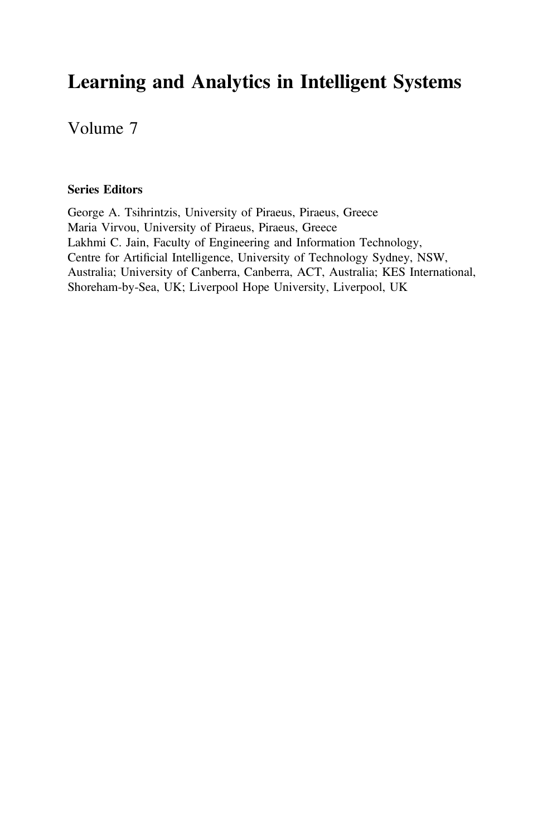## Learning and Analytics in Intelligent Systems

Volume 7

#### Series Editors

George A. Tsihrintzis, University of Piraeus, Piraeus, Greece Maria Virvou, University of Piraeus, Piraeus, Greece Lakhmi C. Jain, Faculty of Engineering and Information Technology, Centre for Artificial Intelligence, University of Technology Sydney, NSW, Australia; University of Canberra, Canberra, ACT, Australia; KES International, Shoreham-by-Sea, UK; Liverpool Hope University, Liverpool, UK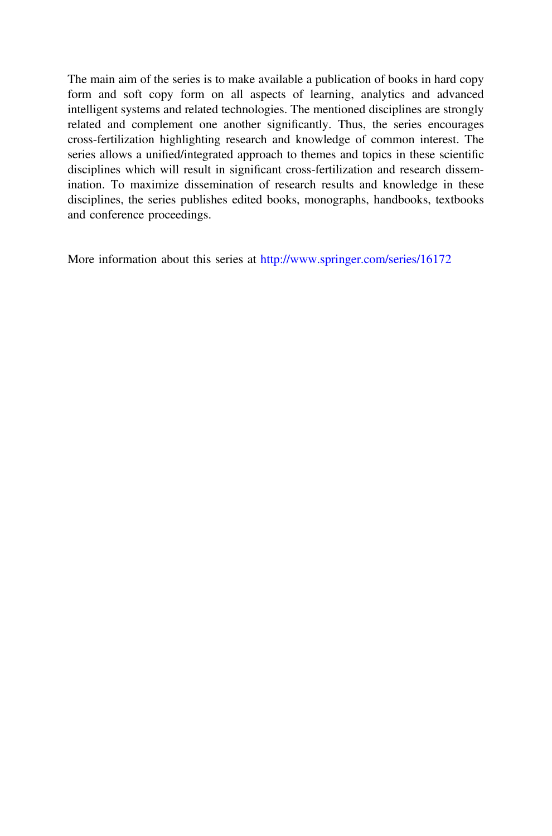The main aim of the series is to make available a publication of books in hard copy form and soft copy form on all aspects of learning, analytics and advanced intelligent systems and related technologies. The mentioned disciplines are strongly related and complement one another significantly. Thus, the series encourages cross-fertilization highlighting research and knowledge of common interest. The series allows a unified/integrated approach to themes and topics in these scientific disciplines which will result in significant cross-fertilization and research dissemination. To maximize dissemination of research results and knowledge in these disciplines, the series publishes edited books, monographs, handbooks, textbooks and conference proceedings.

More information about this series at <http://www.springer.com/series/16172>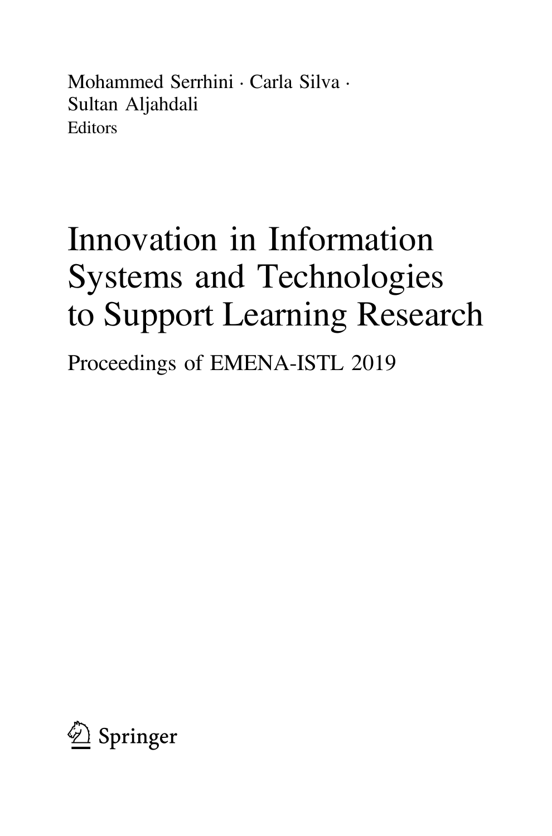Mohammed Serrhini • Carla Silva • Sultan Aljahdali Editors

# Innovation in Information Systems and Technologies to Support Learning Research

Proceedings of EMENA-ISTL 2019

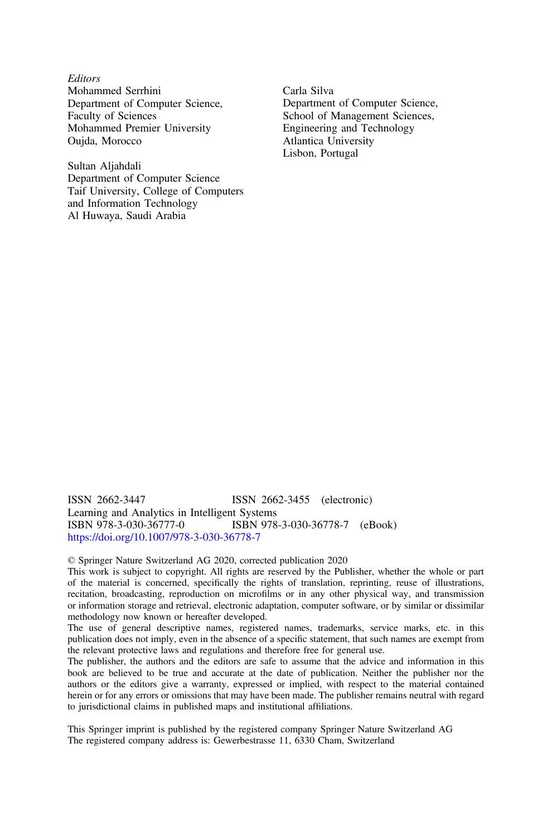**Editors** Mohammed Serrhini Department of Computer Science, Faculty of Sciences Mohammed Premier University Oujda, Morocco

Sultan Aljahdali Department of Computer Science Taif University, College of Computers and Information Technology Al Huwaya, Saudi Arabia

Carla Silva Department of Computer Science, School of Management Sciences, Engineering and Technology Atlantica University Lisbon, Portugal

ISSN 2662-3447 ISSN 2662-3455 (electronic) Learning and Analytics in Intelligent Systems<br>ISBN 978-3-030-36777-0<br>ISBN 978 ISBN 978-3-030-36778-7 (eBook) <https://doi.org/10.1007/978-3-030-36778-7>

© Springer Nature Switzerland AG 2020, corrected publication 2020

This work is subject to copyright. All rights are reserved by the Publisher, whether the whole or part of the material is concerned, specifically the rights of translation, reprinting, reuse of illustrations, recitation, broadcasting, reproduction on microfilms or in any other physical way, and transmission or information storage and retrieval, electronic adaptation, computer software, or by similar or dissimilar methodology now known or hereafter developed.

The use of general descriptive names, registered names, trademarks, service marks, etc. in this publication does not imply, even in the absence of a specific statement, that such names are exempt from the relevant protective laws and regulations and therefore free for general use.

The publisher, the authors and the editors are safe to assume that the advice and information in this book are believed to be true and accurate at the date of publication. Neither the publisher nor the authors or the editors give a warranty, expressed or implied, with respect to the material contained herein or for any errors or omissions that may have been made. The publisher remains neutral with regard to jurisdictional claims in published maps and institutional affiliations.

This Springer imprint is published by the registered company Springer Nature Switzerland AG The registered company address is: Gewerbestrasse 11, 6330 Cham, Switzerland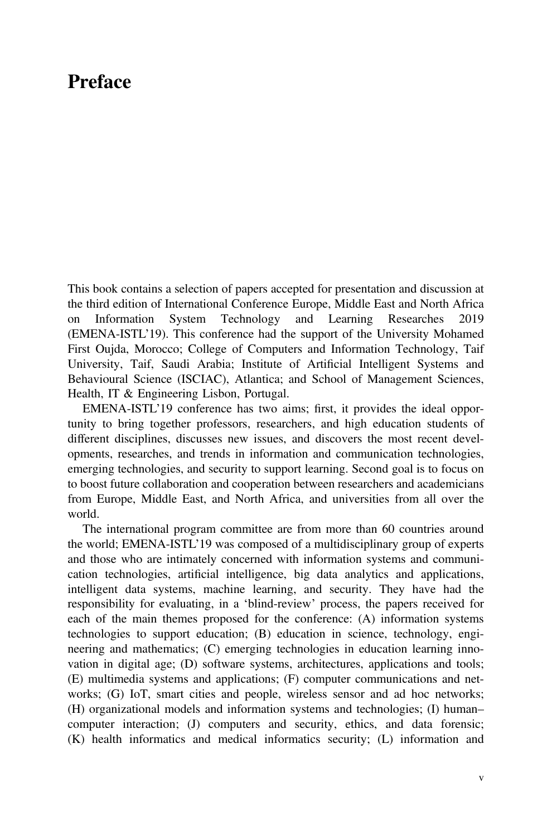## Preface

This book contains a selection of papers accepted for presentation and discussion at the third edition of International Conference Europe, Middle East and North Africa on Information System Technology and Learning Researches 2019 (EMENA-ISTL'19). This conference had the support of the University Mohamed First Oujda, Morocco; College of Computers and Information Technology, Taif University, Taif, Saudi Arabia; Institute of Artificial Intelligent Systems and Behavioural Science (ISCIAC), Atlantica; and School of Management Sciences, Health, IT & Engineering Lisbon, Portugal.

EMENA-ISTL'19 conference has two aims; first, it provides the ideal opportunity to bring together professors, researchers, and high education students of different disciplines, discusses new issues, and discovers the most recent developments, researches, and trends in information and communication technologies, emerging technologies, and security to support learning. Second goal is to focus on to boost future collaboration and cooperation between researchers and academicians from Europe, Middle East, and North Africa, and universities from all over the world.

The international program committee are from more than 60 countries around the world; EMENA-ISTL'19 was composed of a multidisciplinary group of experts and those who are intimately concerned with information systems and communication technologies, artificial intelligence, big data analytics and applications, intelligent data systems, machine learning, and security. They have had the responsibility for evaluating, in a 'blind-review' process, the papers received for each of the main themes proposed for the conference: (A) information systems technologies to support education; (B) education in science, technology, engineering and mathematics; (C) emerging technologies in education learning innovation in digital age; (D) software systems, architectures, applications and tools; (E) multimedia systems and applications; (F) computer communications and networks; (G) IoT, smart cities and people, wireless sensor and ad hoc networks; (H) organizational models and information systems and technologies; (I) human– computer interaction; (J) computers and security, ethics, and data forensic; (K) health informatics and medical informatics security; (L) information and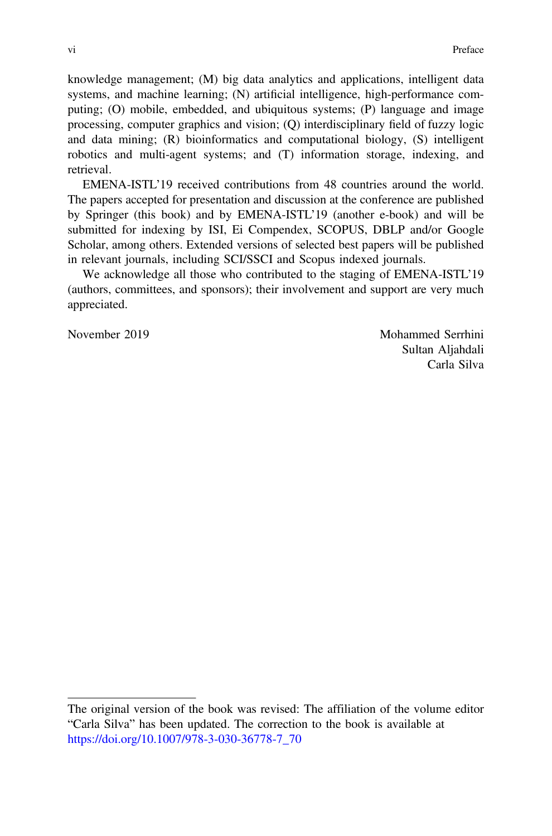knowledge management; (M) big data analytics and applications, intelligent data systems, and machine learning; (N) artificial intelligence, high-performance computing; (O) mobile, embedded, and ubiquitous systems; (P) language and image processing, computer graphics and vision; (Q) interdisciplinary field of fuzzy logic and data mining; (R) bioinformatics and computational biology, (S) intelligent robotics and multi-agent systems; and (T) information storage, indexing, and retrieval.

EMENA-ISTL'19 received contributions from 48 countries around the world. The papers accepted for presentation and discussion at the conference are published by Springer (this book) and by EMENA-ISTL'19 (another e-book) and will be submitted for indexing by ISI, Ei Compendex, SCOPUS, DBLP and/or Google Scholar, among others. Extended versions of selected best papers will be published in relevant journals, including SCI/SSCI and Scopus indexed journals.

We acknowledge all those who contributed to the staging of EMENA-ISTL'19 (authors, committees, and sponsors); their involvement and support are very much appreciated.

November 2019 Mohammed Serrhini Sultan Aljahdali Carla Silva

The original version of the book was revised: The affiliation of the volume editor "Carla Silva" has been updated. The correction to the book is available at https://doi.org/10.1007/978-3-030-36778-7\_70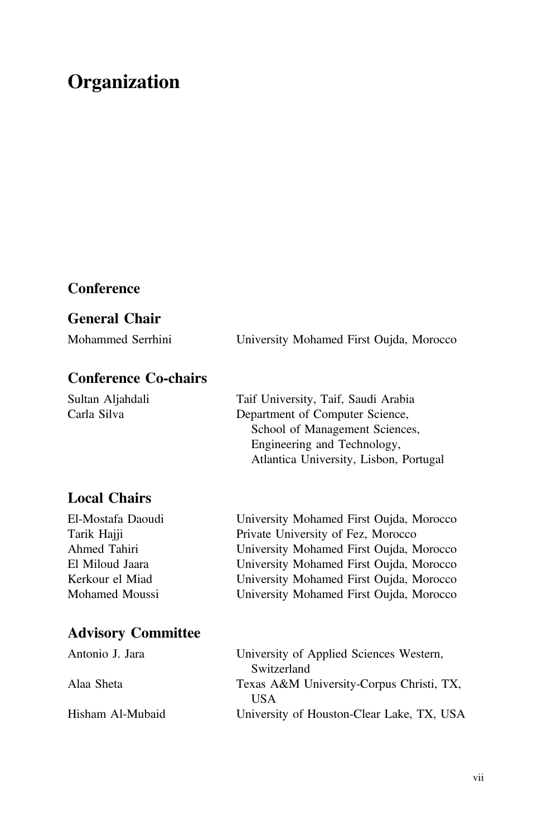## **Organization**

#### **Conference**

#### General Chair

Mohammed Serrhini University Mohamed First Oujda, Morocco

Atlantica University, Lisbon, Portugal

#### Conference Co-chairs

Sultan Aljahdali Taif University, Taif, Saudi Arabia Carla Silva Department of Computer Science, School of Management Sciences, Engineering and Technology,

### Local Chairs

| El-Mostafa Daoudi | University Mohamed First Oujda, Morocco |
|-------------------|-----------------------------------------|
| Tarik Hajji       | Private University of Fez, Morocco      |
| Ahmed Tahiri      | University Mohamed First Oujda, Morocco |
| El Miloud Jaara   | University Mohamed First Oujda, Morocco |
| Kerkour el Miad   | University Mohamed First Oujda, Morocco |
| Mohamed Moussi    | University Mohamed First Oujda, Morocco |

## Advisory Committee

Antonio J. Jara University of Applied Sciences Western, Switzerland Alaa Sheta Texas A&M University-Corpus Christi, TX, USA Hisham Al-Mubaid University of Houston-Clear Lake, TX, USA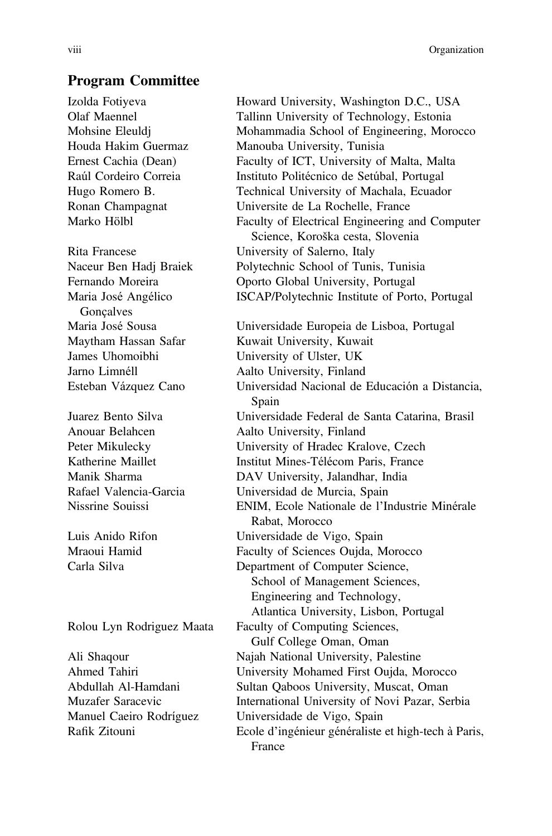#### **Program Committee**

Izolda Fotiyeva Olaf Maennel Mohsine Eleuldi Houda Hakim Guermaz Ernest Cachia (Dean) Raúl Cordeiro Correia Hugo Romero B. Ronan Champagnat Marko Hölbl

Rita Francese Naceur Ben Hadj Braiek Fernando Moreira Maria José Angélico Goncalves Maria José Sousa Maytham Hassan Safar James Uhomoibhi Jarno Limnéll Esteban Vázquez Cano

Juarez Bento Silva Anouar Belahcen Peter Mikulecky Katherine Maillet Manik Sharma Rafael Valencia-Garcia Nissrine Souissi

Luis Anido Rifon Mraoui Hamid Carla Silva

Rolou Lyn Rodriguez Maata

Ali Shaqour **Ahmed Tahiri** Abdullah Al-Hamdani Muzafer Saracevic Manuel Caeiro Rodríguez Rafik Zitouni

Howard University, Washington D.C., USA Tallinn University of Technology, Estonia Mohammadia School of Engineering, Morocco Manouba University, Tunisia Faculty of ICT, University of Malta, Malta Instituto Politécnico de Setúbal, Portugal Technical University of Machala, Ecuador Universite de La Rochelle, France Faculty of Electrical Engineering and Computer Science, Koroška cesta, Slovenia University of Salerno, Italy Polytechnic School of Tunis, Tunisia Oporto Global University, Portugal ISCAP/Polytechnic Institute of Porto, Portugal Universidade Europeia de Lisboa, Portugal Kuwait University, Kuwait University of Ulster, UK Aalto University, Finland Universidad Nacional de Educación a Distancia, Spain Universidade Federal de Santa Catarina, Brasil Aalto University, Finland University of Hradec Kralove, Czech Institut Mines-Télécom Paris, France DAV University, Jalandhar, India Universidad de Murcia, Spain ENIM, Ecole Nationale de l'Industrie Minérale Rabat, Morocco Universidade de Vigo, Spain Faculty of Sciences Oujda, Morocco Department of Computer Science, School of Management Sciences, Engineering and Technology, Atlantica University, Lisbon, Portugal Faculty of Computing Sciences, Gulf College Oman, Oman Najah National University, Palestine University Mohamed First Oujda, Morocco Sultan Oaboos University, Muscat, Oman International University of Novi Pazar, Serbia Universidade de Vigo, Spain Ecole d'ingénieur généraliste et high-tech à Paris, France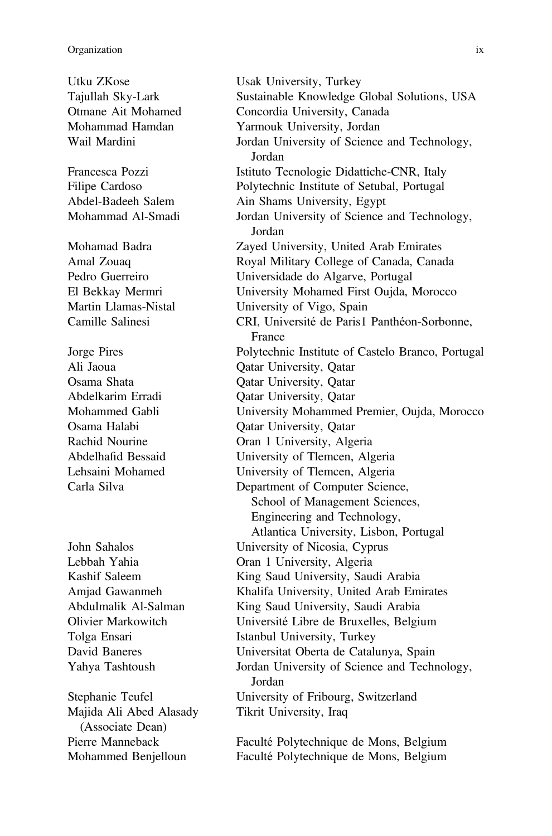Osama Shata **Qatar University**, Qatar Osama Halabi Qatar University, Qatar

Majida Ali Abed Alasady (Associate Dean)

Utku ZKose Usak University, Turkey Tajullah Sky-Lark Sustainable Knowledge Global Solutions, USA Otmane Ait Mohamed Concordia University, Canada Mohammad Hamdan Yarmouk University, Jordan Wail Mardini **Van University of Science and Technology**, Jordan Francesca Pozzi Istituto Tecnologie Didattiche-CNR, Italy Filipe Cardoso Polytechnic Institute of Setubal, Portugal Abdel-Badeeh Salem Ain Shams University, Egypt Mohammad Al-Smadi Jordan University of Science and Technology, Jordan Mohamad Badra Zayed University, United Arab Emirates Amal Zouaq **Royal Military College of Canada**, Canada Pedro Guerreiro Universidade do Algarve, Portugal El Bekkay Mermri University Mohamed First Oujda, Morocco Martin Llamas-Nistal University of Vigo, Spain Camille Salinesi CRI, Université de Paris1 Panthéon-Sorbonne, France Jorge Pires Polytechnic Institute of Castelo Branco, Portugal Ali Jaoua Qatar University, Qatar Abdelkarim Erradi Qatar University, Qatar Mohammed Gabli University Mohammed Premier, Oujda, Morocco Rachid Nourine Oran 1 University, Algeria Abdelhafid Bessaid University of Tlemcen, Algeria Lehsaini Mohamed University of Tlemcen, Algeria Carla Silva Department of Computer Science, School of Management Sciences, Engineering and Technology, Atlantica University, Lisbon, Portugal John Sahalos University of Nicosia, Cyprus Lebbah Yahia Oran 1 University, Algeria Kashif Saleem King Saud University, Saudi Arabia Amjad Gawanmeh Khalifa University, United Arab Emirates Abdulmalik Al-Salman King Saud University, Saudi Arabia Olivier Markowitch Université Libre de Bruxelles, Belgium Tolga Ensari **Istanbul University**, Turkey David Baneres Universitat Oberta de Catalunya, Spain Yahya Tashtoush Jordan University of Science and Technology, Jordan Stephanie Teufel University of Fribourg, Switzerland Tikrit University, Iraq

Pierre Manneback Faculté Polytechnique de Mons, Belgium Mohammed Benjelloun Faculté Polytechnique de Mons, Belgium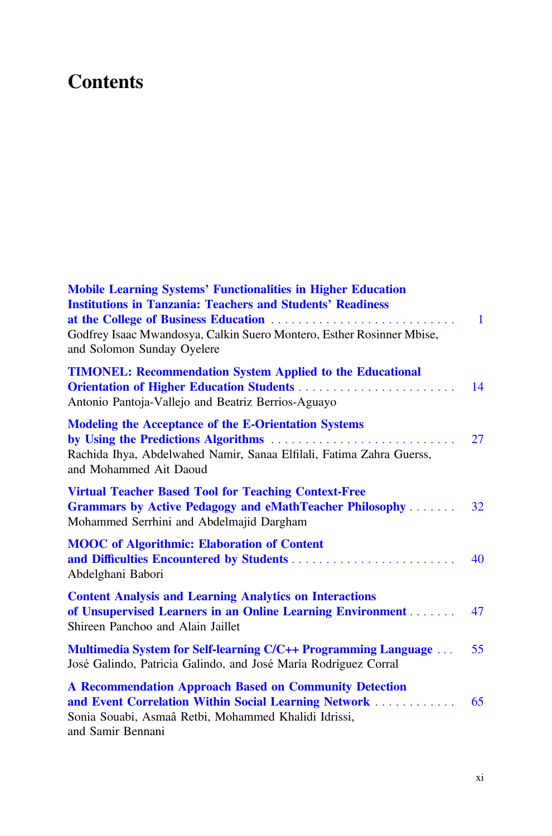# **Contents**

| <b>Mobile Learning Systems' Functionalities in Higher Education</b><br><b>Institutions in Tanzania: Teachers and Students' Readiness</b><br>Godfrey Isaac Mwandosya, Calkin Suero Montero, Esther Rosinner Mbise,<br>and Solomon Sunday Oyelere | $\mathbf{1}$ |
|-------------------------------------------------------------------------------------------------------------------------------------------------------------------------------------------------------------------------------------------------|--------------|
| <b>TIMONEL: Recommendation System Applied to the Educational</b><br>Antonio Pantoja-Vallejo and Beatriz Berrios-Aguayo                                                                                                                          | 14           |
| <b>Modeling the Acceptance of the E-Orientation Systems</b><br>Rachida Ihya, Abdelwahed Namir, Sanaa Elfilali, Fatima Zahra Guerss,<br>and Mohammed Ait Daoud                                                                                   | 27           |
| <b>Virtual Teacher Based Tool for Teaching Context-Free</b><br><b>Grammars by Active Pedagogy and eMathTeacher Philosophy </b><br>Mohammed Serrhini and Abdelmajid Dargham                                                                      | 32           |
| <b>MOOC</b> of Algorithmic: Elaboration of Content<br>Abdelghani Babori                                                                                                                                                                         | 40           |
| <b>Content Analysis and Learning Analytics on Interactions</b><br>of Unsupervised Learners in an Online Learning Environment<br>Shireen Panchoo and Alain Jaillet                                                                               | 47           |
| <b>Multimedia System for Self-learning C/C++ Programming Language </b><br>José Galindo, Patricia Galindo, and José María Rodríguez Corral                                                                                                       | 55           |
| <b>A Recommendation Approach Based on Community Detection</b><br>and Event Correlation Within Social Learning Network<br>Sonia Souabi, Asmaâ Retbi, Mohammed Khalidi Idrissi,<br>and Samir Bennani                                              | 65           |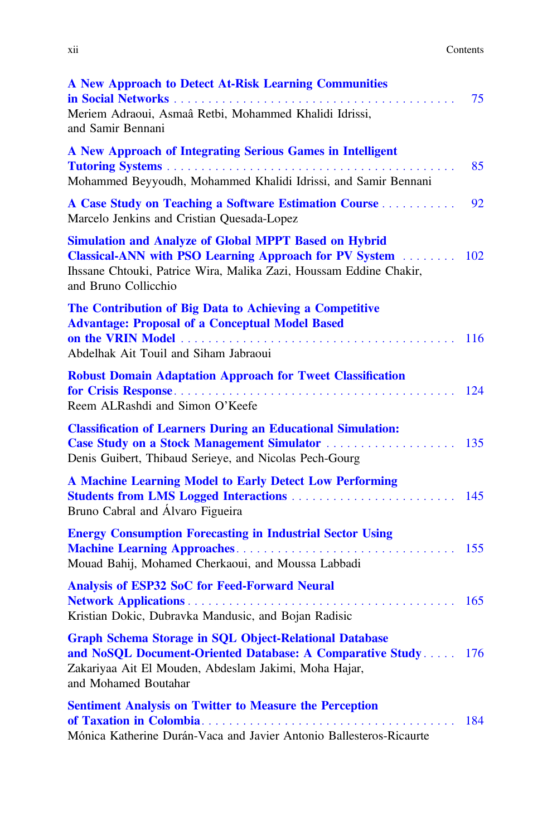| $\cdot$ .<br>X11 | Contents<br>. |
|------------------|---------------|
|                  |               |

| A New Approach to Detect At-Risk Learning Communities<br>Meriem Adraoui, Asmaâ Retbi, Mohammed Khalidi Idrissi,<br>and Samir Bennani                                                                                         | 75         |
|------------------------------------------------------------------------------------------------------------------------------------------------------------------------------------------------------------------------------|------------|
| A New Approach of Integrating Serious Games in Intelligent<br>Mohammed Beyyoudh, Mohammed Khalidi Idrissi, and Samir Bennani                                                                                                 | 85         |
| A Case Study on Teaching a Software Estimation Course<br>Marcelo Jenkins and Cristian Quesada-Lopez                                                                                                                          | 92         |
| <b>Simulation and Analyze of Global MPPT Based on Hybrid</b><br><b>Classical-ANN with PSO Learning Approach for PV System </b><br>Ihssane Chtouki, Patrice Wira, Malika Zazi, Houssam Eddine Chakir,<br>and Bruno Collicchio | 102        |
| The Contribution of Big Data to Achieving a Competitive<br><b>Advantage: Proposal of a Conceptual Model Based</b><br>Abdelhak Ait Touil and Siham Jabraoui                                                                   | <b>116</b> |
| <b>Robust Domain Adaptation Approach for Tweet Classification</b><br>Reem ALRashdi and Simon O'Keefe                                                                                                                         | - 124      |
| <b>Classification of Learners During an Educational Simulation:</b><br>Case Study on a Stock Management Simulator<br>Denis Guibert, Thibaud Serieye, and Nicolas Pech-Gourg                                                  | 135        |
| A Machine Learning Model to Early Detect Low Performing<br>Bruno Cabral and Álvaro Figueira                                                                                                                                  | 145        |
| <b>Energy Consumption Forecasting in Industrial Sector Using</b><br>Mouad Bahij, Mohamed Cherkaoui, and Moussa Labbadi                                                                                                       | 155        |
| <b>Analysis of ESP32 SoC for Feed-Forward Neural</b><br>Kristian Dokic, Dubravka Mandusic, and Bojan Radisic                                                                                                                 | 165        |
| <b>Graph Schema Storage in SQL Object-Relational Database</b><br>and NoSQL Document-Oriented Database: A Comparative Study<br>Zakariyaa Ait El Mouden, Abdeslam Jakimi, Moha Hajar,<br>and Mohamed Boutahar                  | 176        |
| <b>Sentiment Analysis on Twitter to Measure the Perception</b><br>Mónica Katherine Durán-Vaca and Javier Antonio Ballesteros-Ricaurte                                                                                        | 184        |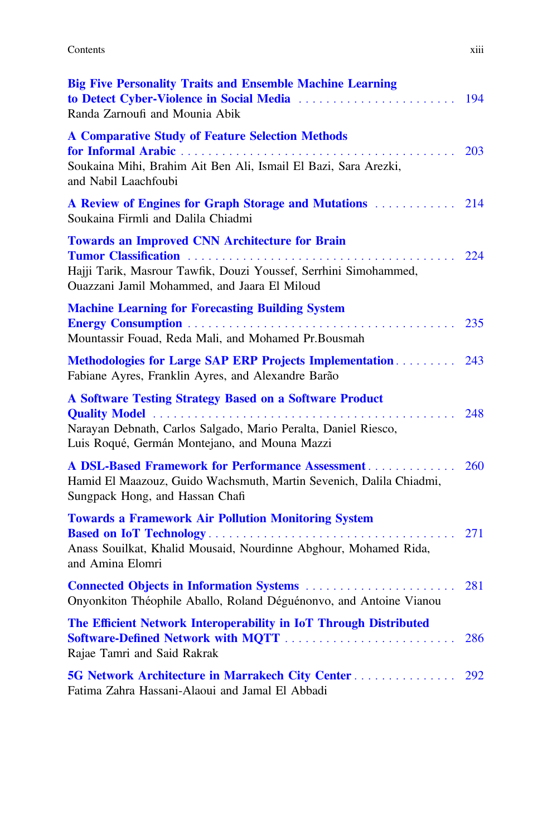| <b>Big Five Personality Traits and Ensemble Machine Learning</b><br>to Detect Cyber-Violence in Social Media<br>Randa Zarnoufi and Mounia Abik                                           | 194 |
|------------------------------------------------------------------------------------------------------------------------------------------------------------------------------------------|-----|
| <b>A Comparative Study of Feature Selection Methods</b><br>Soukaina Mihi, Brahim Ait Ben Ali, Ismail El Bazi, Sara Arezki,<br>and Nabil Laachfoubi                                       | 203 |
| A Review of Engines for Graph Storage and Mutations  214<br>Soukaina Firmli and Dalila Chiadmi                                                                                           |     |
| <b>Towards an Improved CNN Architecture for Brain</b><br>Hajji Tarik, Masrour Tawfik, Douzi Youssef, Serrhini Simohammed,<br>Ouazzani Jamil Mohammed, and Jaara El Miloud                | 224 |
| <b>Machine Learning for Forecasting Building System</b><br>Mountassir Fouad, Reda Mali, and Mohamed Pr.Bousmah                                                                           | 235 |
| Methodologies for Large SAP ERP Projects Implementation<br>Fabiane Ayres, Franklin Ayres, and Alexandre Barão                                                                            | 243 |
| A Software Testing Strategy Based on a Software Product<br>Narayan Debnath, Carlos Salgado, Mario Peralta, Daniel Riesco,<br>Luis Roqué, Germán Montejano, and Mouna Mazzi               | 248 |
| A DSL-Based Framework for Performance Assessment<br>Hamid El Maazouz, Guido Wachsmuth, Martin Sevenich, Dalila Chiadmi,<br>Sungpack Hong, and Hassan Chafi                               | 260 |
| <b>Towards a Framework Air Pollution Monitoring System</b><br>Based on IoT Technology<br>and and<br>Anass Souilkat, Khalid Mousaid, Nourdinne Abghour, Mohamed Rida,<br>and Amina Elomri | 271 |
| Connected Objects in Information Systems<br>Onyonkiton Théophile Aballo, Roland Déguénonvo, and Antoine Vianou                                                                           | 281 |
| The Efficient Network Interoperability in IoT Through Distributed<br>Software-Defined Network with MQTT<br>Rajae Tamri and Said Rakrak                                                   | 286 |
| 5G Network Architecture in Marrakech City Center 292<br>Fatima Zahra Hassani-Alaoui and Jamal El Abbadi                                                                                  |     |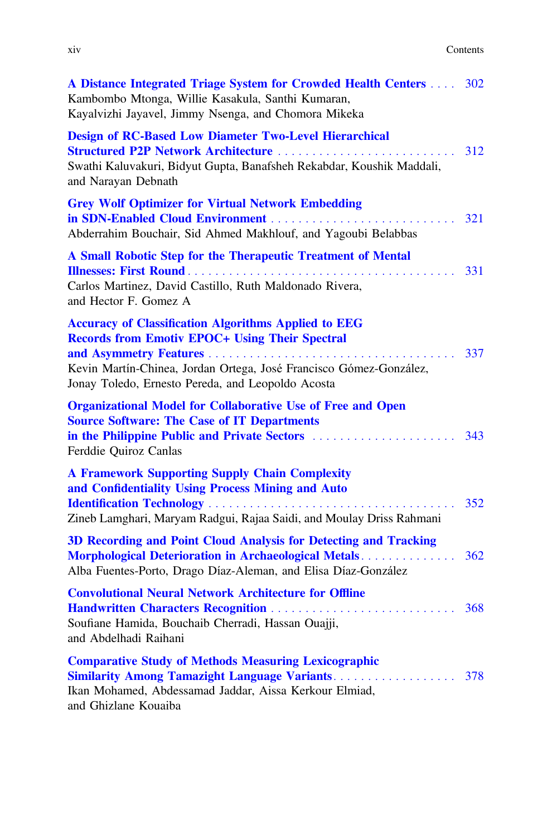| A Distance Integrated Triage System for Crowded Health Centers 302<br>Kambombo Mtonga, Willie Kasakula, Santhi Kumaran,<br>Kayalvizhi Jayavel, Jimmy Nsenga, and Chomora Mikeka                                                                 |     |
|-------------------------------------------------------------------------------------------------------------------------------------------------------------------------------------------------------------------------------------------------|-----|
| <b>Design of RC-Based Low Diameter Two-Level Hierarchical</b><br><b>Structured P2P Network Architecture </b><br>Swathi Kaluvakuri, Bidyut Gupta, Banafsheh Rekabdar, Koushik Maddali,<br>and Narayan Debnath                                    | 312 |
| <b>Grey Wolf Optimizer for Virtual Network Embedding</b><br>in SDN-Enabled Cloud Environment<br>Abderrahim Bouchair, Sid Ahmed Makhlouf, and Yagoubi Belabbas                                                                                   | 321 |
| A Small Robotic Step for the Therapeutic Treatment of Mental<br>Carlos Martinez, David Castillo, Ruth Maldonado Rivera,<br>and Hector F. Gomez A                                                                                                | 331 |
| <b>Accuracy of Classification Algorithms Applied to EEG</b><br><b>Records from Emotiv EPOC+ Using Their Spectral</b><br>Kevin Martín-Chinea, Jordan Ortega, José Francisco Gómez-González,<br>Jonay Toledo, Ernesto Pereda, and Leopoldo Acosta | 337 |
| <b>Organizational Model for Collaborative Use of Free and Open</b><br><b>Source Software: The Case of IT Departments</b><br>in the Philippine Public and Private Sectors<br>Ferddie Quiroz Canlas                                               | 343 |
| <b>A Framework Supporting Supply Chain Complexity</b><br>and Confidentiality Using Process Mining and Auto<br>Identification Technology<br>Zineb Lamghari, Maryam Radgui, Rajaa Saidi, and Moulay Driss Rahmani                                 | 352 |
| 3D Recording and Point Cloud Analysis for Detecting and Tracking<br>Morphological Deterioration in Archaeological Metals<br>Alba Fuentes-Porto, Drago Díaz-Aleman, and Elisa Díaz-González                                                      | 362 |
| <b>Convolutional Neural Network Architecture for Offline</b><br>Handwritten Characters Recognition<br>Soufiane Hamida, Bouchaib Cherradi, Hassan Ouajji,<br>and Abdelhadi Raihani                                                               | 368 |
| <b>Comparative Study of Methods Measuring Lexicographic</b><br><b>Similarity Among Tamazight Language Variants</b><br>Ikan Mohamed, Abdessamad Jaddar, Aissa Kerkour Elmiad,<br>and Ghizlane Kouaiba                                            | 378 |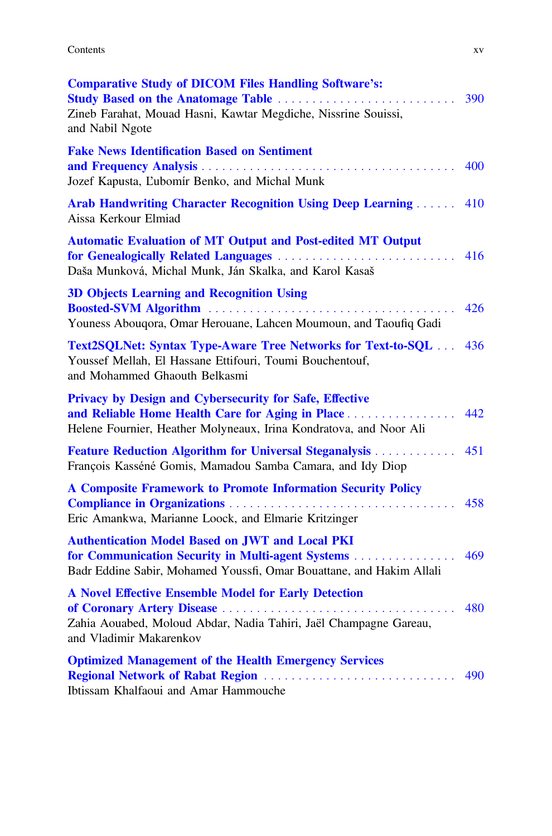#### Contents

| <b>Comparative Study of DICOM Files Handling Software's:</b><br><b>Study Based on the Anatomage Table </b><br>Zineb Farahat, Mouad Hasni, Kawtar Megdiche, Nissrine Souissi,<br>and Nabil Ngote | 390 |
|-------------------------------------------------------------------------------------------------------------------------------------------------------------------------------------------------|-----|
| <b>Fake News Identification Based on Sentiment</b><br>Jozef Kapusta, Ľubomír Benko, and Michal Munk                                                                                             | 400 |
| <b>Arab Handwriting Character Recognition Using Deep Learning </b><br>Aissa Kerkour Elmiad                                                                                                      | 410 |
| <b>Automatic Evaluation of MT Output and Post-edited MT Output</b><br>for Genealogically Related Languages<br>Daša Munková, Michal Munk, Ján Skalka, and Karol Kasaš                            | 416 |
| 3D Objects Learning and Recognition Using<br>Youness Abouqora, Omar Herouane, Lahcen Moumoun, and Taoufiq Gadi                                                                                  | 426 |
| Text2SQLNet: Syntax Type-Aware Tree Networks for Text-to-SQL<br>Youssef Mellah, El Hassane Ettifouri, Toumi Bouchentouf,<br>and Mohammed Ghaouth Belkasmi                                       | 436 |
| Privacy by Design and Cybersecurity for Safe, Effective<br>and Reliable Home Health Care for Aging in Place<br>Helene Fournier, Heather Molyneaux, Irina Kondratova, and Noor Ali               | 442 |
| Feature Reduction Algorithm for Universal Steganalysis<br>François Kasséné Gomis, Mamadou Samba Camara, and Idy Diop                                                                            | 451 |
| <b>A Composite Framework to Promote Information Security Policy</b><br>Eric Amankwa, Marianne Loock, and Elmarie Kritzinger                                                                     | 458 |
| <b>Authentication Model Based on JWT and Local PKI</b><br>for Communication Security in Multi-agent Systems<br>Badr Eddine Sabir, Mohamed Youssfi, Omar Bouattane, and Hakim Allali             | 469 |
| <b>A Novel Effective Ensemble Model for Early Detection</b><br>Zahia Aouabed, Moloud Abdar, Nadia Tahiri, Jaël Champagne Gareau,<br>and Vladimir Makarenkov                                     | 480 |
| <b>Optimized Management of the Health Emergency Services</b><br>Regional Network of Rabat Region<br>Ibtissam Khalfaoui and Amar Hammouche                                                       | 490 |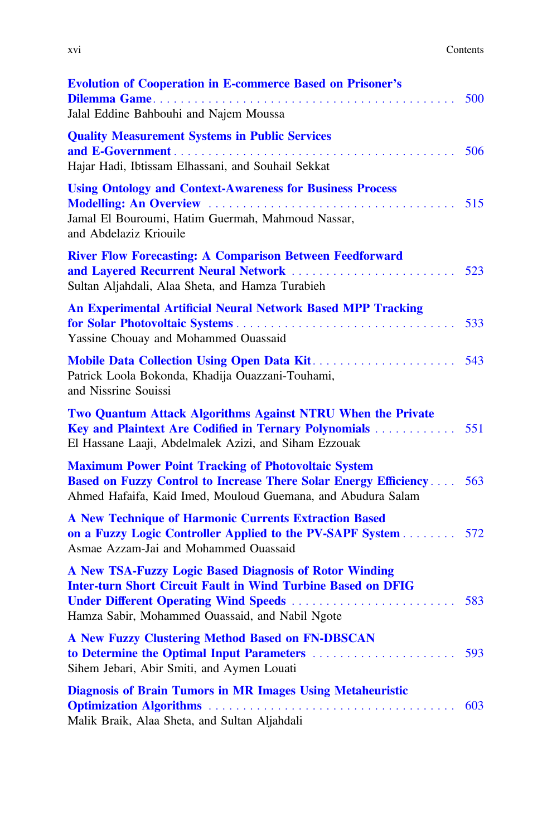| XV1                             | Contents |
|---------------------------------|----------|
| the contract of the contract of | .        |
|                                 |          |

| 506                                                           |
|---------------------------------------------------------------|
| 515                                                           |
| 523                                                           |
| 533                                                           |
| 543                                                           |
| Key and Plaintext Are Codified in Ternary Polynomials 551     |
| 563                                                           |
| on a Fuzzy Logic Controller Applied to the PV-SAPF System 572 |
| 583                                                           |
| 593                                                           |
| 603                                                           |
|                                                               |